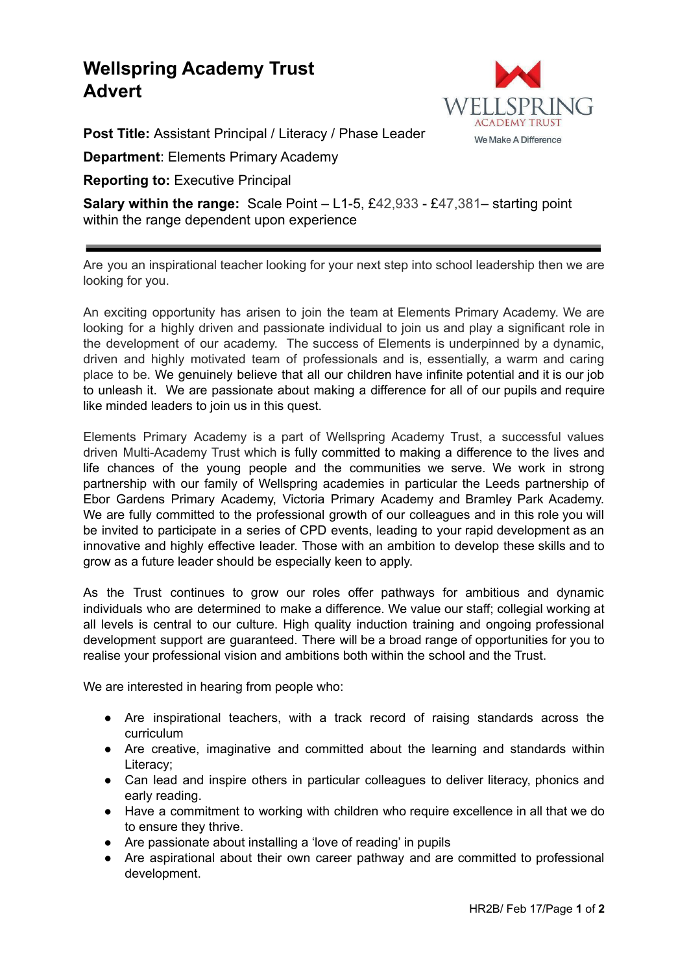## **Wellspring Academy Trust Advert**



**Post Title:** Assistant Principal / Literacy / Phase Leader

**Department**: Elements Primary Academy

**Reporting to:** Executive Principal

**Salary within the range:** Scale Point – L1-5, £42,933 - £47,381– starting point within the range dependent upon experience

Are you an inspirational teacher looking for your next step into school leadership then we are looking for you.

An exciting opportunity has arisen to join the team at Elements Primary Academy. We are looking for a highly driven and passionate individual to join us and play a significant role in the development of our academy. The success of Elements is underpinned by a dynamic, driven and highly motivated team of professionals and is, essentially, a warm and caring place to be. We genuinely believe that all our children have infinite potential and it is our job to unleash it. We are passionate about making a difference for all of our pupils and require like minded leaders to join us in this quest.

Elements Primary Academy is a part of Wellspring Academy Trust, a successful values driven Multi-Academy Trust which is fully committed to making a difference to the lives and life chances of the young people and the communities we serve. We work in strong partnership with our family of Wellspring academies in particular the Leeds partnership of Ebor Gardens Primary Academy, Victoria Primary Academy and Bramley Park Academy. We are fully committed to the professional growth of our colleagues and in this role you will be invited to participate in a series of CPD events, leading to your rapid development as an innovative and highly effective leader. Those with an ambition to develop these skills and to grow as a future leader should be especially keen to apply.

As the Trust continues to grow our roles offer pathways for ambitious and dynamic individuals who are determined to make a difference. We value our staff; collegial working at all levels is central to our culture. High quality induction training and ongoing professional development support are guaranteed. There will be a broad range of opportunities for you to realise your professional vision and ambitions both within the school and the Trust.

We are interested in hearing from people who:

- Are inspirational teachers, with a track record of raising standards across the curriculum
- Are creative, imaginative and committed about the learning and standards within Literacy;
- Can lead and inspire others in particular colleagues to deliver literacy, phonics and early reading.
- Have a commitment to working with children who require excellence in all that we do to ensure they thrive.
- Are passionate about installing a 'love of reading' in pupils
- Are aspirational about their own career pathway and are committed to professional development.